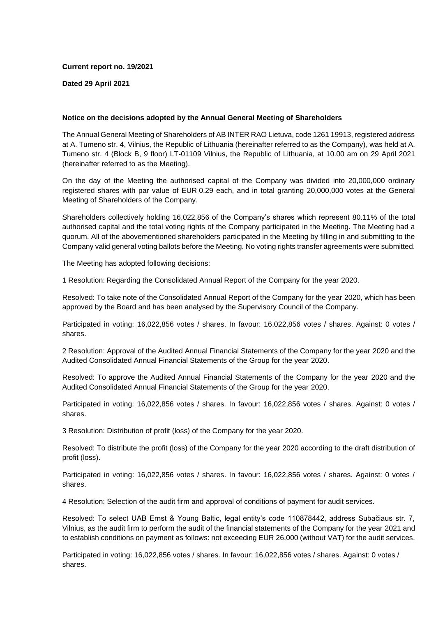# **Current report no. 19/2021**

# **Dated 29 April 2021**

# **Notice on the decisions adopted by the Annual General Meeting of Shareholders**

The Annual General Meeting of Shareholders of AB INTER RAO Lietuva, code 1261 19913, registered address at A. Tumeno str. 4, Vilnius, the Republic of Lithuania (hereinafter referred to as the Company), was held at A. Tumeno str. 4 (Block B, 9 floor) LT-01109 Vilnius, the Republic of Lithuania, at 10.00 am on 29 April 2021 (hereinafter referred to as the Meeting).

On the day of the Meeting the authorised capital of the Company was divided into 20,000,000 ordinary registered shares with par value of EUR 0,29 each, and in total granting 20,000,000 votes at the General Meeting of Shareholders of the Company.

Shareholders collectively holding 16,022,856 of the Company's shares which represent 80.11% of the total authorised capital and the total voting rights of the Company participated in the Meeting. The Meeting had a quorum. All of the abovementioned shareholders participated in the Meeting by filling in and submitting to the Company valid general voting ballots before the Meeting. No voting rights transfer agreements were submitted.

The Meeting has adopted following decisions:

1 Resolution: Regarding the Consolidated Annual Report of the Company for the year 2020.

Resolved: To take note of the Consolidated Annual Report of the Company for the year 2020, which has been approved by the Board and has been analysed by the Supervisory Council of the Company.

Participated in voting: 16,022,856 votes / shares. In favour: 16,022,856 votes / shares. Against: 0 votes / shares.

2 Resolution: Approval of the Audited Annual Financial Statements of the Company for the year 2020 and the Audited Consolidated Annual Financial Statements of the Group for the year 2020.

Resolved: To approve the Audited Annual Financial Statements of the Company for the year 2020 and the Audited Consolidated Annual Financial Statements of the Group for the year 2020.

Participated in voting: 16,022,856 votes / shares. In favour: 16,022,856 votes / shares. Against: 0 votes / shares.

3 Resolution: Distribution of profit (loss) of the Company for the year 2020.

Resolved: To distribute the profit (loss) of the Company for the year 2020 according to the draft distribution of profit (loss).

Participated in voting: 16,022,856 votes / shares. In favour: 16,022,856 votes / shares. Against: 0 votes / shares.

4 Resolution: Selection of the audit firm and approval of conditions of payment for audit services.

Resolved: To select UAB Ernst & Young Baltic, legal entity's code 110878442, address Subačiaus str. 7, Vilnius, as the audit firm to perform the audit of the financial statements of the Company for the year 2021 and to establish conditions on payment as follows: not exceeding EUR 26,000 (without VAT) for the audit services.

Participated in voting: 16,022,856 votes / shares. In favour: 16,022,856 votes / shares. Against: 0 votes / shares.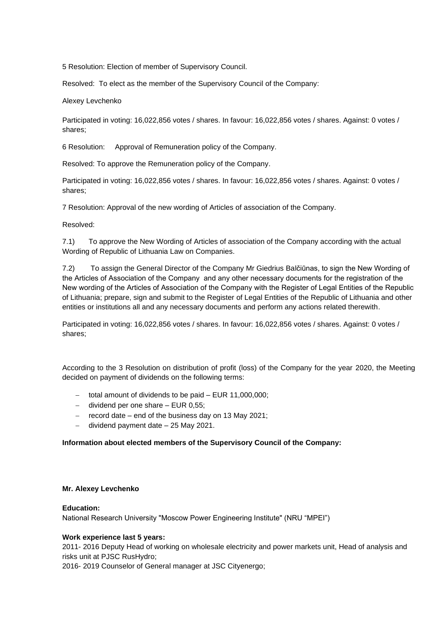5 Resolution: Election of member of Supervisory Council.

Resolved: To elect as the member of the Supervisory Council of the Company:

Alexey Levchenko

Participated in voting: 16,022,856 votes / shares. In favour: 16,022,856 votes / shares. Against: 0 votes / shares;

6 Resolution: Approval of Remuneration policy of the Company.

Resolved: To approve the Remuneration policy of the Company.

Participated in voting: 16,022,856 votes / shares. In favour: 16,022,856 votes / shares. Against: 0 votes / shares;

7 Resolution: Approval of the new wording of Articles of association of the Company.

Resolved:

7.1) To approve the New Wording of Articles of association of the Company according with the actual Wording of Republic of Lithuania Law on Companies.

7.2) To assign the General Director of the Company Mr Giedrius Balčiūnas, to sign the New Wording of the Аrticles of Аssociation of the Company and any other necessary documents for the registration of the New wording of the Аrticles of Аssociation of the Company with the Register of Legal Entities of the Republic of Lithuania; prepare, sign and submit to the Register of Legal Entities of the Republic of Lithuania and other entities or institutions all and any necessary documents and perform any actions related therewith.

Participated in voting: 16,022,856 votes / shares. In favour: 16,022,856 votes / shares. Against: 0 votes / shares;

According to the 3 Resolution on distribution of profit (loss) of the Company for the year 2020, the Meeting decided on payment of dividends on the following terms:

- − total amount of dividends to be paid EUR 11,000,000;
- − dividend per one share EUR 0,55;
- − record date end of the business day on 13 May 2021;
- − dividend payment date 25 May 2021.

# **Information about elected members of the Supervisory Council of the Company:**

# **Mr. Alexey Levchenko**

### **Education:**

National Research University "Moscow Power Engineering Institute" (NRU "MPEI")

### **Work experience last 5 years:**

2011- 2016 Deputy Head of working on wholesale electricity and power markets unit, Head of analysis and risks unit at PJSC RusHydro;

2016- 2019 Counselor of General manager at JSC Cityenergo;